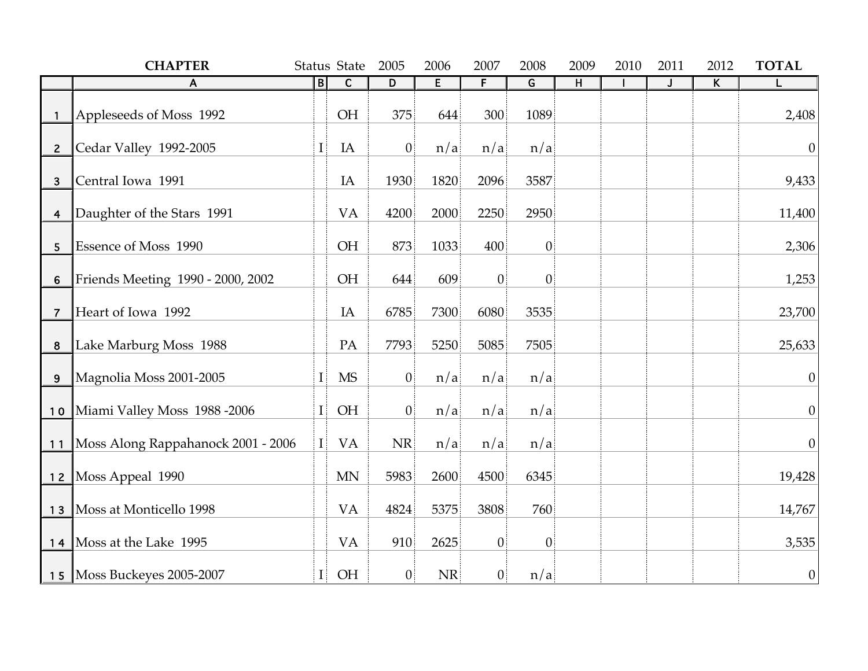|                         | <b>CHAPTER</b>                     |              | Status State           | 2005        | 2006      | 2007           | 2008                    | 2009           | 2010 | 2011                    | 2012                    | <b>TOTAL</b> |
|-------------------------|------------------------------------|--------------|------------------------|-------------|-----------|----------------|-------------------------|----------------|------|-------------------------|-------------------------|--------------|
|                         | A                                  | B            | $\mathsf{C}$           | D           | E         | $\overline{F}$ | $\overline{\mathsf{G}}$ | $\overline{H}$ |      | $\overline{\mathsf{J}}$ | $\overline{\mathsf{K}}$ |              |
|                         | Appleseeds of Moss 1992            |              | <b>OH</b>              | 375         | 644       | 300            | 1089                    |                |      |                         |                         | 2,408        |
| $\overline{2}$          | Cedar Valley 1992-2005             | $\mathbf{I}$ | IA                     | $ 0\rangle$ | n/a       | n/a            | n/a                     |                |      |                         |                         | $\theta$     |
| 3                       | Central Iowa 1991                  |              | IA                     | 1930        | 1820      | 2096           | 3587                    |                |      |                         |                         | 9,433        |
| $\overline{\mathbf{4}}$ | Daughter of the Stars 1991         |              | VA                     | 4200        | 2000      | 2250           | 2950                    |                |      |                         |                         | 11,400       |
| 5                       | Essence of Moss 1990               |              | <b>OH</b>              | 873         | 1033      | 400            | $\vert 0 \vert$         |                |      |                         |                         | 2,306        |
| $\boldsymbol{6}$        | Friends Meeting 1990 - 2000, 2002  |              | OH                     | 644         | 609       | $\overline{0}$ | $\vert 0 \vert$         |                |      |                         |                         | 1,253        |
| 7                       | Heart of Iowa 1992                 |              | IA                     | 6785        | 7300      | 6080           | 3535                    |                |      |                         |                         | 23,700       |
| 8                       | Lake Marburg Moss 1988             |              | PA                     | 7793        | 5250      | 5085           | 7505                    |                |      |                         |                         | 25,633       |
| 9                       | Magnolia Moss 2001-2005            | $\mathbf{I}$ | $\overline{\text{MS}}$ | $ 0\rangle$ | n/a       | n/a            | n/a                     |                |      |                         |                         | $\theta$     |
| 10                      | Miami Valley Moss 1988 -2006       | $\mathbf{I}$ | <b>OH</b>              | $ 0\rangle$ | n/a       | n/a            | n/a                     |                |      |                         |                         | $\theta$     |
| 11                      | Moss Along Rappahanock 2001 - 2006 | $\mathbf{I}$ | <b>VA</b>              | NR          | n/a       | n/a            | n/a                     |                |      |                         |                         | $\theta$     |
|                         | 12   Moss Appeal 1990              |              | <b>MN</b>              | 5983        | 2600      | 4500           | 6345                    |                |      |                         |                         | 19,428       |
| 13                      | Moss at Monticello 1998            |              | <b>VA</b>              | 4824        | 5375      | 3808           | 760                     |                |      |                         |                         | 14,767       |
| 14                      | Moss at the Lake 1995              |              | <b>VA</b>              | 910         | 2625      | $ 0\rangle$    | $\vert 0 \vert$         |                |      |                         |                         | 3,535        |
|                         | 15   Moss Buckeyes 2005-2007       | $\mathbf{I}$ | OH                     | $ 0\rangle$ | <b>NR</b> | $ 0\rangle$    | n/a                     |                |      |                         |                         | $\theta$     |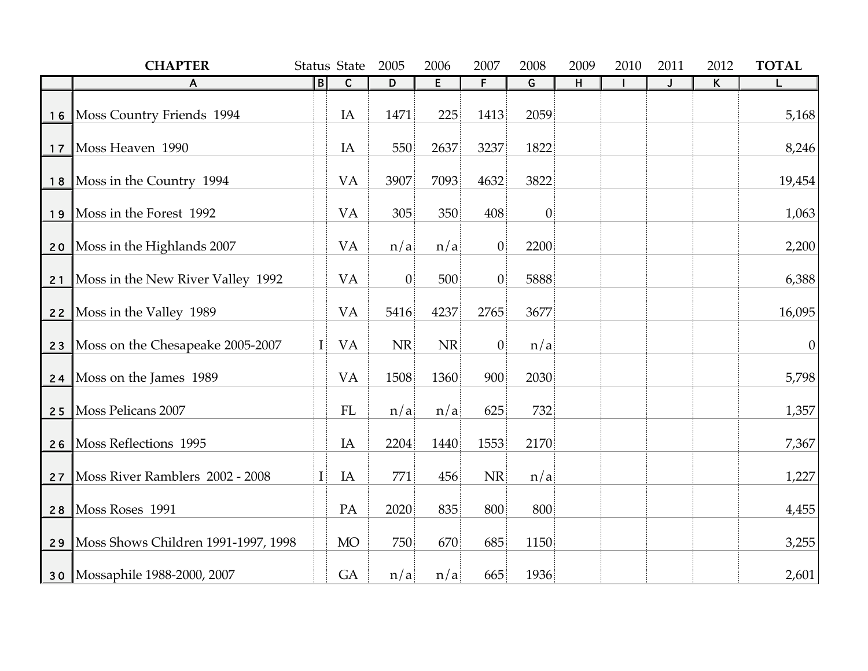|    | <b>CHAPTER</b>                      |              | Status State | 2005           | 2006 | 2007             | 2008            | 2009           | 2010 | 2011         | 2012 | <b>TOTAL</b> |
|----|-------------------------------------|--------------|--------------|----------------|------|------------------|-----------------|----------------|------|--------------|------|--------------|
|    | A                                   | B            | $\mathbf C$  | D              | E    | $\overline{F}$   | G               | $\overline{H}$ |      | $\mathbf{J}$ | K    | L            |
| 16 | Moss Country Friends 1994           |              | IA           | 1471           | 225  | 1413             | 2059            |                |      |              |      | 5,168        |
| 17 | Moss Heaven 1990                    |              | IA           | 550            | 2637 | 3237             | 1822            |                |      |              |      | 8,246        |
|    | 18 Moss in the Country 1994         |              | <b>VA</b>    | 3907           | 7093 | 4632             | 3822            |                |      |              |      | 19,454       |
| 19 | Moss in the Forest 1992             |              | <b>VA</b>    | 305            | 350  | 408              | $\vert 0 \vert$ |                |      |              |      | 1,063        |
| 20 | Moss in the Highlands 2007          |              | <b>VA</b>    | n/a            | n/a  | $\boldsymbol{0}$ | 2200            |                |      |              |      | 2,200        |
| 21 | Moss in the New River Valley 1992   |              | <b>VA</b>    | $\overline{0}$ | 500  | $\theta$         | 5888            |                |      |              |      | 6,388        |
| 22 | Moss in the Valley 1989             |              | <b>VA</b>    | 5416           | 4237 | 2765             | 3677            |                |      |              |      | 16,095       |
| 23 | Moss on the Chesapeake 2005-2007    | I            | <b>VA</b>    | <b>NR</b>      | NR   | $\overline{0}$   | n/a             |                |      |              |      | $\theta$     |
|    | 24   Moss on the James 1989         |              | <b>VA</b>    | 1508           | 1360 | 900              | 2030            |                |      |              |      | 5,798        |
| 25 | <b>Moss Pelicans 2007</b>           |              | FL           | n/a            | n/a  | 625              | 732             |                |      |              |      | 1,357        |
| 26 | <b>Moss Reflections 1995</b>        |              | IA           | 2204           | 1440 | 1553             | 2170            |                |      |              |      | 7,367        |
| 27 | Moss River Ramblers 2002 - 2008     | $\mathbf{I}$ | IA           | 771            | 456  | NR               | n/a             |                |      |              |      | 1,227        |
| 28 | Moss Roses 1991                     |              | PA           | 2020           | 835  | 800              | 800             |                |      |              |      | 4,455        |
| 29 | Moss Shows Children 1991-1997, 1998 |              | <b>MO</b>    | 750            | 670  | 685              | 1150            |                |      |              |      | 3,255        |
|    | 30   Mossaphile 1988-2000, 2007     |              | GA           | n/a            | n/a  | 665              | 1936            |                |      |              |      | 2,601        |